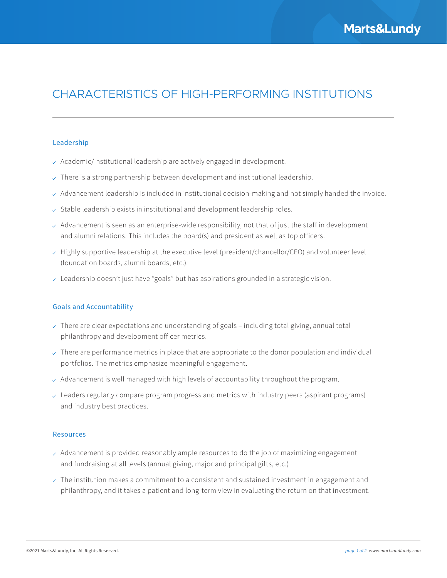# CHARACTERISTICS OF HIGH-PERFORMING INSTITUTIONS

#### Leadership

- $\sim$  Academic/Institutional leadership are actively engaged in development.
- $\sim$  There is a strong partnership between development and institutional leadership.
- $\vee$  Advancement leadership is included in institutional decision-making and not simply handed the invoice.
- $\vee$  Stable leadership exists in institutional and development leadership roles.
- $\vee$  Advancement is seen as an enterprise-wide responsibility, not that of just the staff in development and alumni relations. This includes the board(s) and president as well as top officers.
- $\vee$  Highly supportive leadership at the executive level (president/chancellor/CEO) and volunteer level (foundation boards, alumni boards, etc.).
- $\vee$  Leadership doesn't just have "goals" but has aspirations grounded in a strategic vision.

## Goals and Accountability

- $\vee$  There are clear expectations and understanding of goals including total giving, annual total philanthropy and development officer metrics.
- $\vee$  There are performance metrics in place that are appropriate to the donor population and individual portfolios. The metrics emphasize meaningful engagement.
- $\lambda$  Advancement is well managed with high levels of accountability throughout the program.
- $\vee$  Leaders regularly compare program progress and metrics with industry peers (aspirant programs) and industry best practices.

#### Resources

- $\vee$  Advancement is provided reasonably ample resources to do the job of maximizing engagement and fundraising at all levels (annual giving, major and principal gifts, etc.)
- $\vee$  The institution makes a commitment to a consistent and sustained investment in engagement and philanthropy, and it takes a patient and long-term view in evaluating the return on that investment.